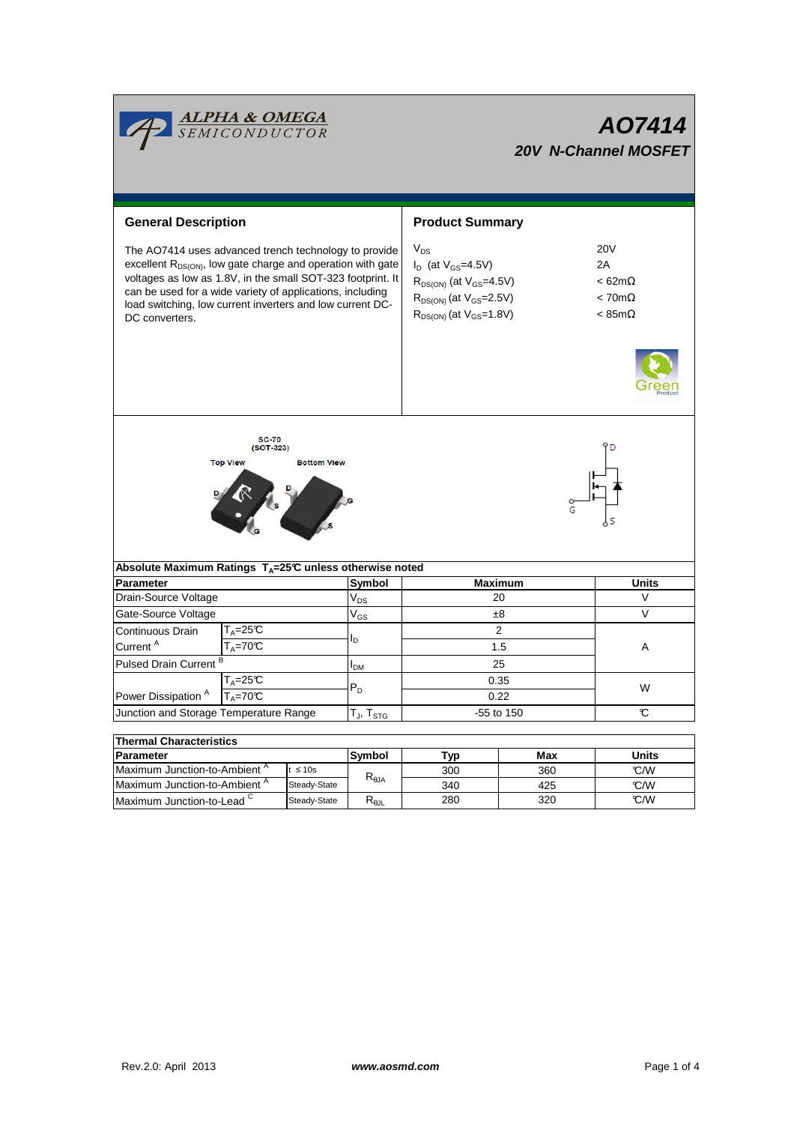|                                                                                                                                                                                                                                                                                                                                             | <b>ALPHA &amp; OMEGA</b><br>SEMICONDUCTOR |                 |                                   | AO7414<br><b>20V N-Channel MOSFET</b>                                                                                                               |                                                                                     |              |  |  |  |
|---------------------------------------------------------------------------------------------------------------------------------------------------------------------------------------------------------------------------------------------------------------------------------------------------------------------------------------------|-------------------------------------------|-----------------|-----------------------------------|-----------------------------------------------------------------------------------------------------------------------------------------------------|-------------------------------------------------------------------------------------|--------------|--|--|--|
| <b>General Description</b>                                                                                                                                                                                                                                                                                                                  |                                           |                 | <b>Product Summary</b>            |                                                                                                                                                     |                                                                                     |              |  |  |  |
| The AO7414 uses advanced trench technology to provide<br>excellent R <sub>DS(ON)</sub> , low gate charge and operation with gate<br>voltages as low as 1.8V, in the small SOT-323 footprint. It<br>can be used for a wide variety of applications, including<br>load switching, low current inverters and low current DC-<br>DC converters. |                                           |                 |                                   | $V_{DS}$<br>$I_D$ (at $V_{GS}$ =4.5V)<br>$R_{DS(ON)}$ (at $V_{GS}$ =4.5V)<br>$R_{DS(ON)}$ (at $V_{GS}$ =2.5V)<br>$R_{DS(ON)}$ (at $V_{GS} = 1.8V$ ) | <b>20V</b><br>2A<br>$< 62m\Omega$<br>$< 70 \text{m}\Omega$<br>$< 85 \text{m}\Omega$ |              |  |  |  |
| <b>SC-70</b><br>$(SOT-323)$<br><b>Top View</b><br><b>Bottom View</b>                                                                                                                                                                                                                                                                        |                                           |                 |                                   |                                                                                                                                                     |                                                                                     |              |  |  |  |
| Absolute Maximum Ratings T <sub>A</sub> =25℃ unless otherwise noted                                                                                                                                                                                                                                                                         |                                           |                 | Symbol                            |                                                                                                                                                     | <b>Maximum</b>                                                                      | <b>Units</b> |  |  |  |
| Drain-Source Voltage                                                                                                                                                                                                                                                                                                                        | <b>Parameter</b>                          |                 |                                   | 20                                                                                                                                                  | V                                                                                   |              |  |  |  |
| Gate-Source Voltage                                                                                                                                                                                                                                                                                                                         |                                           |                 | V <sub>DS</sub><br>$V_{GS}$       | ±8                                                                                                                                                  | $\vee$                                                                              |              |  |  |  |
| Continuous Drain                                                                                                                                                                                                                                                                                                                            | $T_A = 25C$                               |                 |                                   | $\overline{2}$                                                                                                                                      |                                                                                     |              |  |  |  |
| Current <sup>A</sup>                                                                                                                                                                                                                                                                                                                        | $T_A = 70^\circ C$                        |                 | l <sub>D</sub>                    | 1.5                                                                                                                                                 | A                                                                                   |              |  |  |  |
| Pulsed Drain Current <sup>B</sup>                                                                                                                                                                                                                                                                                                           |                                           |                 | I <sub>DМ</sub>                   | 25                                                                                                                                                  |                                                                                     |              |  |  |  |
| $T_A = 25C$                                                                                                                                                                                                                                                                                                                                 |                                           |                 | P <sub>n</sub>                    | 0.35                                                                                                                                                |                                                                                     | W            |  |  |  |
| $T_A = 70$ <sup>C</sup><br>Power Dissipation <sup>A</sup>                                                                                                                                                                                                                                                                                   |                                           |                 |                                   | 0.22                                                                                                                                                |                                                                                     |              |  |  |  |
| Junction and Storage Temperature Range                                                                                                                                                                                                                                                                                                      |                                           |                 | $T_{\text{J}}$ , $T_{\text{STG}}$ | $-55$ to 150                                                                                                                                        |                                                                                     | C            |  |  |  |
| <b>Thermal Characteristics</b>                                                                                                                                                                                                                                                                                                              |                                           |                 |                                   |                                                                                                                                                     |                                                                                     |              |  |  |  |
| <b>Parameter</b>                                                                                                                                                                                                                                                                                                                            |                                           |                 | Symbol                            | Typ                                                                                                                                                 | <b>Max</b>                                                                          | <b>Units</b> |  |  |  |
| Maximum Junction-to-Ambient <sup>A</sup><br>$t \leq 10s$                                                                                                                                                                                                                                                                                    |                                           | $R_{\theta JA}$ | 300                               | 360                                                                                                                                                 | °C/W                                                                                |              |  |  |  |
| Maximum Junction-to-Ambient <sup>A</sup><br>Steady-State                                                                                                                                                                                                                                                                                    |                                           |                 | 340                               | 425                                                                                                                                                 | °C/W                                                                                |              |  |  |  |

Maximum Junction-to-Lead<sup>C</sup>

280

320

Steady-State R<sub>θJL</sub>

°C/W

┓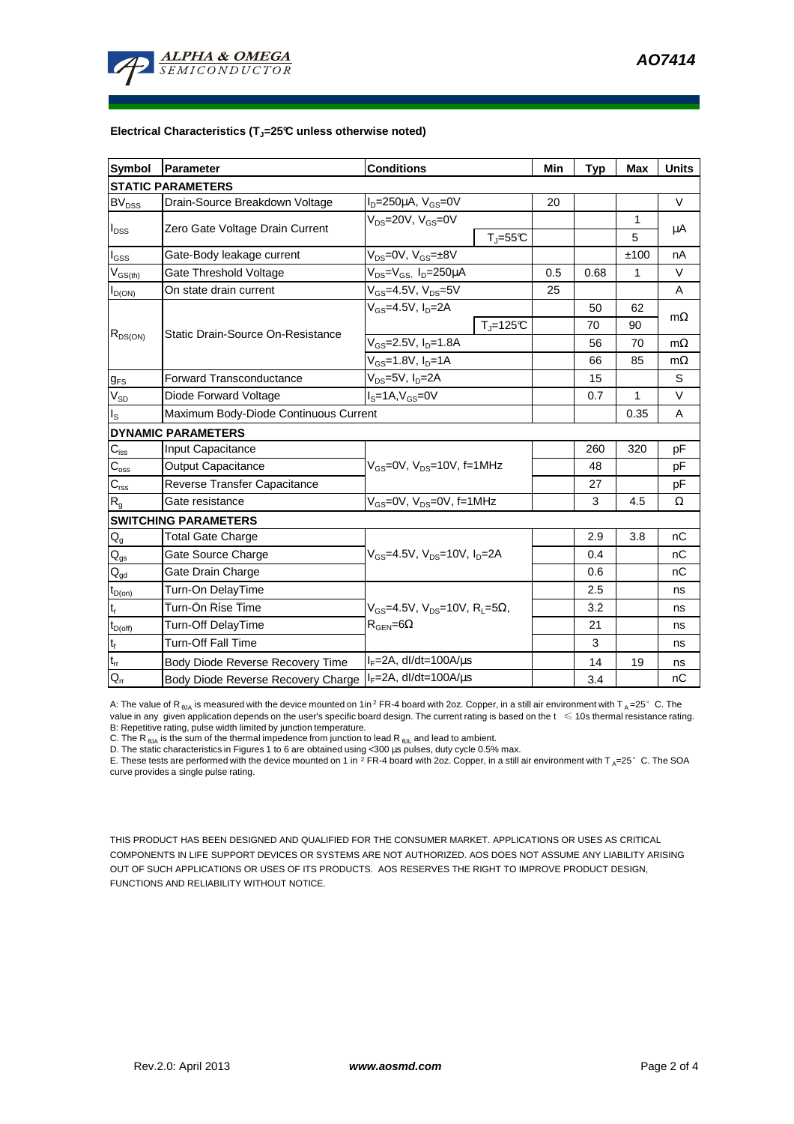

## **Electrical Characteristics (TJ=25°C unless otherwise noted)**

| <b>Symbol</b>                           | <b>Parameter</b>                                                                                 | <b>Conditions</b>                                |                          |      | <b>Typ</b> | <b>Max</b> | <b>Units</b> |
|-----------------------------------------|--------------------------------------------------------------------------------------------------|--------------------------------------------------|--------------------------|------|------------|------------|--------------|
|                                         | <b>STATIC PARAMETERS</b>                                                                         |                                                  |                          |      |            |            |              |
| <b>BV<sub>DSS</sub></b>                 | Drain-Source Breakdown Voltage                                                                   | $I_D = 250 \mu A$ , $V_{GS} = 0V$                |                          | 20   |            |            | $\vee$       |
| $I_{DSS}$                               | Zero Gate Voltage Drain Current                                                                  | $V_{\text{DS}}$ =20V, $V_{\text{GS}}$ =0V        |                          |      |            | 1          |              |
|                                         |                                                                                                  | $T_J = 55C$                                      |                          |      |            | 5          | μA           |
| l <sub>GSS</sub>                        | Gate-Body leakage current                                                                        | $V_{DS} = 0V$ , $V_{GS} = \pm 8V$                |                          |      |            | ±100       | nA           |
| $\mathsf{V}_{\mathsf{GS}(\mathsf{th})}$ | Gate Threshold Voltage                                                                           | $V_{DS} = V_{GS}$ , $I_D = 250 \mu A$            |                          | 0.5  | 0.68       | 1          | $\vee$       |
| $I_{D(ON)}$                             | On state drain current                                                                           | $V_{GS}$ =4.5V, $V_{DS}$ =5V                     |                          | 25   |            |            | A            |
| $R_{DS(ON)}$                            |                                                                                                  | $V_{GS}$ =4.5V, $I_{D}$ =2A                      |                          |      | 50         | 62         |              |
|                                         |                                                                                                  |                                                  | $T_{\parallel} = 125$ °C |      | 70         | 90         | $m\Omega$    |
|                                         | Static Drain-Source On-Resistance                                                                | $V_{GS} = 2.5V, I_D = 1.8A$                      |                          |      | 56         | 70         | $m\Omega$    |
|                                         |                                                                                                  | $V_{GS} = 1.8V, I_D = 1A$                        |                          | 66   | 85         | $m\Omega$  |              |
| $g_{FS}$                                | <b>Forward Transconductance</b>                                                                  | $V_{DS}$ =5V, I <sub>D</sub> =2A                 |                          |      | 15         |            | S            |
| $V_{SD}$                                | Diode Forward Voltage                                                                            | $IS=1A, VGS=0V$                                  |                          |      | 0.7        | 1          | $\vee$       |
| ıs.                                     | Maximum Body-Diode Continuous Current                                                            |                                                  |                          | 0.35 | A          |            |              |
|                                         | <b>DYNAMIC PARAMETERS</b>                                                                        |                                                  |                          |      |            |            |              |
| $C_{iss}$                               | <b>Input Capacitance</b>                                                                         | $V_{GS}$ =0V, $V_{DS}$ =10V, f=1MHz              |                          |      | 260        | 320        | pF           |
| $\mathbf{C}_{\mathrm{oss}}$             | <b>Output Capacitance</b>                                                                        |                                                  |                          |      | 48         |            | pF           |
| $C_{\rm rss}$                           | Reverse Transfer Capacitance                                                                     |                                                  |                          |      | 27         |            | pF           |
| $\mathsf{R}_{\mathsf{g}}$               | Gate resistance                                                                                  | V <sub>GS</sub> =0V, V <sub>DS</sub> =0V, f=1MHz |                          |      | 3          | 4.5        | Ω            |
|                                         | <b>SWITCHING PARAMETERS</b>                                                                      |                                                  |                          |      |            |            |              |
| $\mathsf{Q}_{\mathsf{g}}$               | <b>Total Gate Charge</b>                                                                         | $V_{GS}$ =4.5V, $V_{DS}$ =10V, $I_{D}$ =2A       |                          |      | 2.9        | 3.8        | nC           |
| $Q_{gs}$                                | Gate Source Charge                                                                               |                                                  |                          |      | 0.4        |            | nC           |
| $Q_{gd}$                                | Gate Drain Charge                                                                                |                                                  |                          |      | 0.6        |            | nC           |
| $t_{D(on)}$                             | Turn-On DelayTime                                                                                |                                                  |                          |      | 2.5        |            | ns           |
| $t_r$                                   | Turn-On Rise Time<br>$V_{\text{GS}} = 4.5V$ , $V_{\text{DS}} = 10V$ , $R_{\text{I}} = 5\Omega$ , |                                                  |                          | 3.2  |            | ns         |              |
| $t_{D(off)}$                            | Turn-Off DelayTime                                                                               | $R_{\text{GEN}} = 6\Omega$                       |                          |      | 21         |            | ns           |
| $t_f$                                   | <b>Turn-Off Fall Time</b>                                                                        |                                                  |                          | 3    |            | ns         |              |
| $\mathsf{t}_\mathsf{rr}$                | Body Diode Reverse Recovery Time                                                                 | $I_F = 2A$ , dl/dt=100A/ $\mu$ s                 |                          | 14   | 19         | ns         |              |
| $Q_{rr}$                                | Body Diode Reverse Recovery Charge   IF=2A, dl/dt=100A/us                                        |                                                  |                          | 3.4  |            | nC         |              |

A: The value of R<sub>6JA</sub> is measured with the device mounted on 1in<sup>2</sup> FR-4 board with 2oz. Copper, in a still air environment with T<sub>A</sub>=25°C. The value in any given application depends on the user's specific board design. The current rating is based on the t ≤ 10s thermal resistance rating. B: Repetitive rating, pulse width limited by junction temperature.

C. The R<sub>θJA</sub> is the sum of the thermal impedence from junction to lead R<sub>θJL</sub> and lead to ambient.

D. The static characteristics in Figures 1 to 6 are obtained using <300 µs pulses, duty cycle 0.5% max.

E. These tests are performed with the device mounted on 1 in  $^2$  FR-4 board with 2oz. Copper, in a still air environment with T<sub>A</sub>=25°C. The SOA curve provides a single pulse rating.

THIS PRODUCT HAS BEEN DESIGNED AND QUALIFIED FOR THE CONSUMER MARKET. APPLICATIONS OR USES AS CRITICAL COMPONENTS IN LIFE SUPPORT DEVICES OR SYSTEMS ARE NOT AUTHORIZED. AOS DOES NOT ASSUME ANY LIABILITY ARISING OUT OF SUCH APPLICATIONS OR USES OF ITS PRODUCTS. AOS RESERVES THE RIGHT TO IMPROVE PRODUCT DESIGN, FUNCTIONS AND RELIABILITY WITHOUT NOTICE.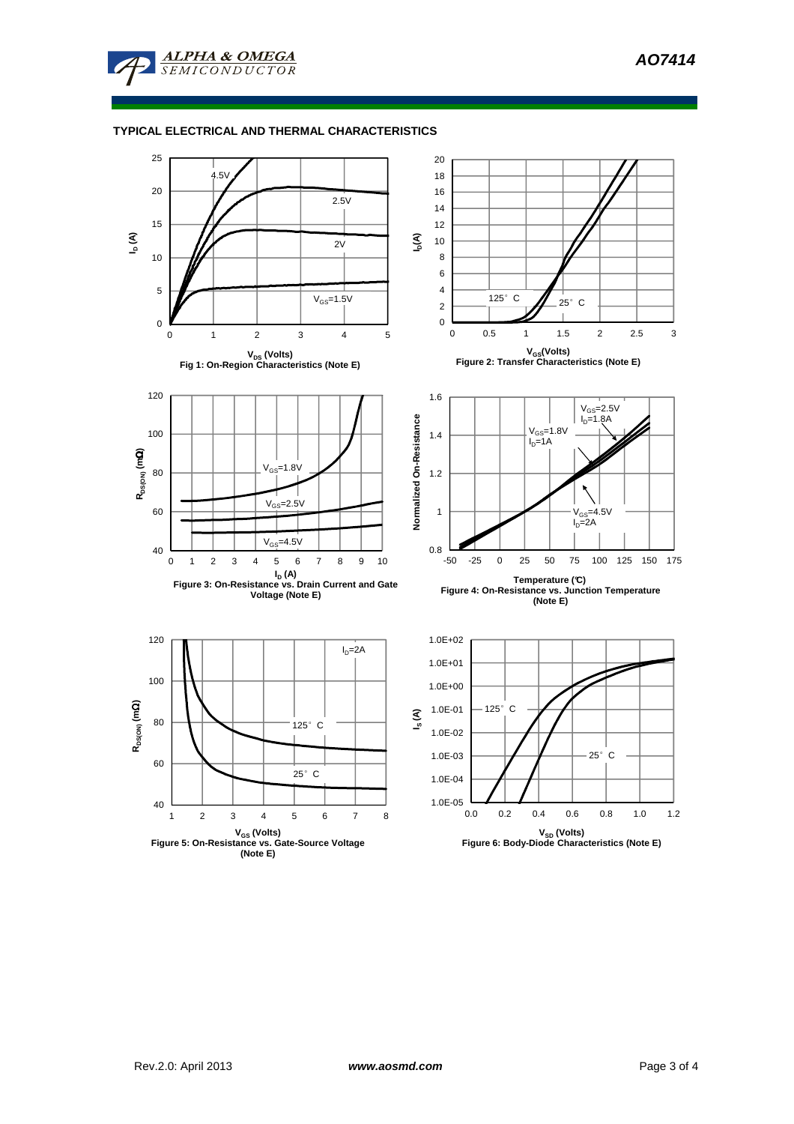

**ALPHA & OMEGA SEMICONDUCTOR**